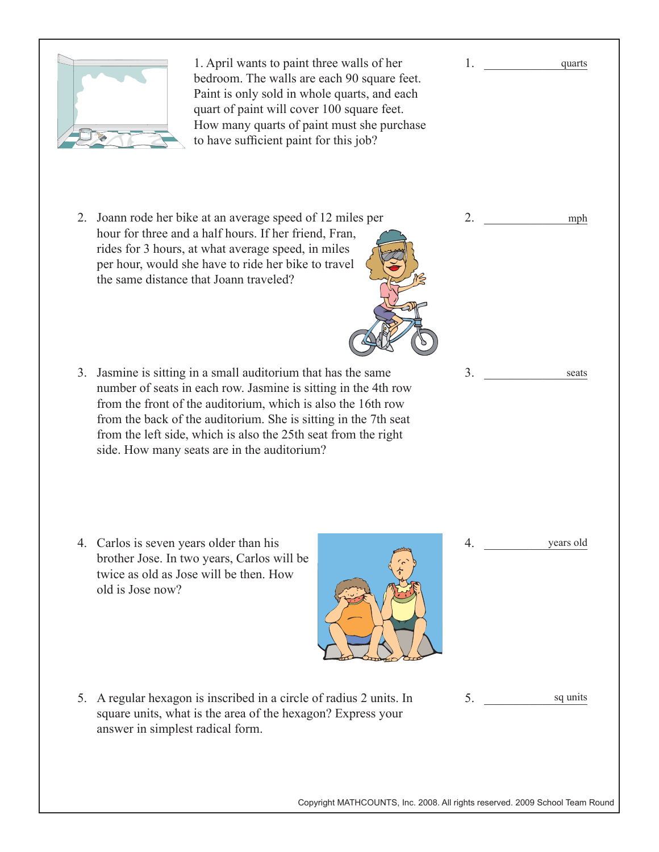

Copyright MATHCOUNTS, Inc. 2008. All rights reserved. 2009 School Team Round